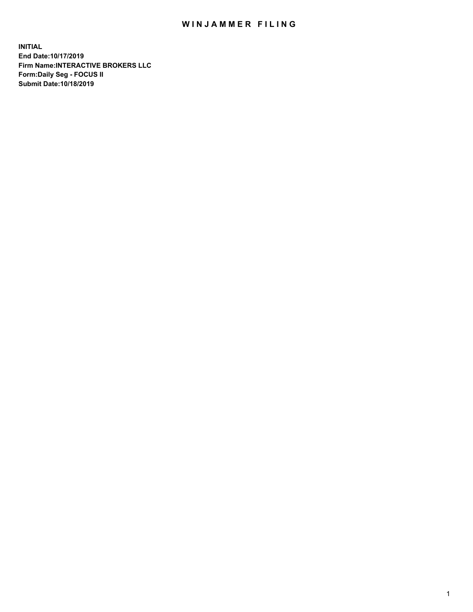## WIN JAMMER FILING

**INITIAL End Date:10/17/2019 Firm Name:INTERACTIVE BROKERS LLC Form:Daily Seg - FOCUS II Submit Date:10/18/2019**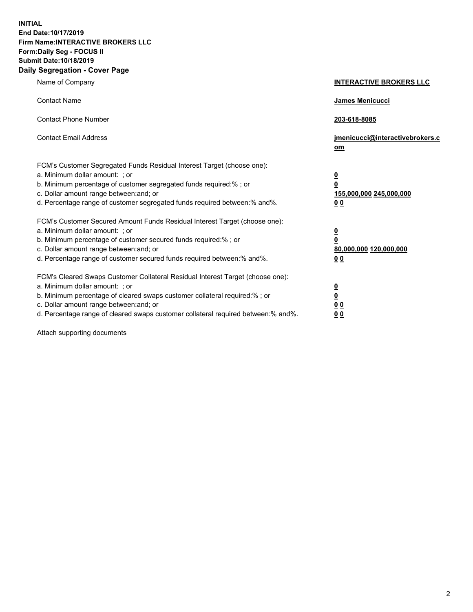**INITIAL End Date:10/17/2019 Firm Name:INTERACTIVE BROKERS LLC Form:Daily Seg - FOCUS II Submit Date:10/18/2019 Daily Segregation - Cover Page**

| Name of Company                                                                                                                                                                                                                                                                                                                | <b>INTERACTIVE BROKERS LLC</b>                                                                  |
|--------------------------------------------------------------------------------------------------------------------------------------------------------------------------------------------------------------------------------------------------------------------------------------------------------------------------------|-------------------------------------------------------------------------------------------------|
| <b>Contact Name</b>                                                                                                                                                                                                                                                                                                            | James Menicucci                                                                                 |
| <b>Contact Phone Number</b>                                                                                                                                                                                                                                                                                                    | 203-618-8085                                                                                    |
| <b>Contact Email Address</b>                                                                                                                                                                                                                                                                                                   | jmenicucci@interactivebrokers.c<br>om                                                           |
| FCM's Customer Segregated Funds Residual Interest Target (choose one):<br>a. Minimum dollar amount: ; or<br>b. Minimum percentage of customer segregated funds required:% ; or<br>c. Dollar amount range between: and; or<br>d. Percentage range of customer segregated funds required between:% and%.                         | $\overline{\mathbf{0}}$<br>$\overline{\mathbf{0}}$<br>155,000,000 245,000,000<br>0 <sub>0</sub> |
| FCM's Customer Secured Amount Funds Residual Interest Target (choose one):<br>a. Minimum dollar amount: ; or<br>b. Minimum percentage of customer secured funds required:%; or<br>c. Dollar amount range between: and; or<br>d. Percentage range of customer secured funds required between:% and%.                            | $\overline{\mathbf{0}}$<br>$\overline{\mathbf{0}}$<br>80,000,000 120,000,000<br>0 <sub>0</sub>  |
| FCM's Cleared Swaps Customer Collateral Residual Interest Target (choose one):<br>a. Minimum dollar amount: ; or<br>b. Minimum percentage of cleared swaps customer collateral required:% ; or<br>c. Dollar amount range between: and; or<br>d. Percentage range of cleared swaps customer collateral required between:% and%. | $\overline{\mathbf{0}}$<br>$\underline{\mathbf{0}}$<br>0 <sub>0</sub><br>0 <sub>0</sub>         |

Attach supporting documents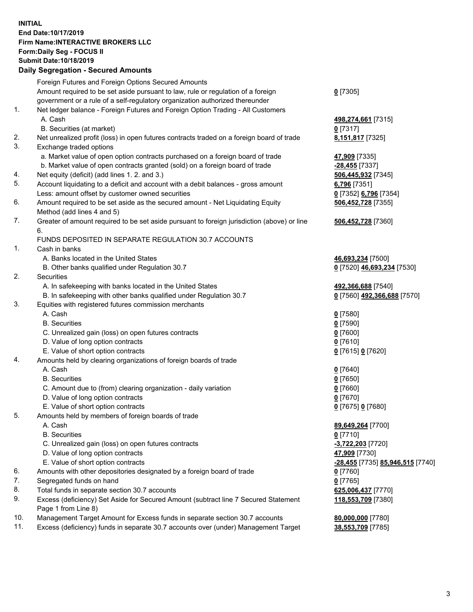## **INITIAL End Date:10/17/2019 Firm Name:INTERACTIVE BROKERS LLC Form:Daily Seg - FOCUS II Submit Date:10/18/2019 Daily Segregation - Secured Amounts**

|     | Daily Jegiegation - Jeculed Aniounts                                                                                                                              |                                  |
|-----|-------------------------------------------------------------------------------------------------------------------------------------------------------------------|----------------------------------|
|     | Foreign Futures and Foreign Options Secured Amounts                                                                                                               |                                  |
|     | Amount required to be set aside pursuant to law, rule or regulation of a foreign                                                                                  | $0$ [7305]                       |
|     | government or a rule of a self-regulatory organization authorized thereunder                                                                                      |                                  |
| 1.  | Net ledger balance - Foreign Futures and Foreign Option Trading - All Customers                                                                                   |                                  |
|     | A. Cash                                                                                                                                                           | 498,274,661 [7315]               |
|     | B. Securities (at market)                                                                                                                                         | $0$ [7317]                       |
| 2.  | Net unrealized profit (loss) in open futures contracts traded on a foreign board of trade                                                                         | 8,151,817 [7325]                 |
| 3.  | Exchange traded options                                                                                                                                           |                                  |
|     | a. Market value of open option contracts purchased on a foreign board of trade                                                                                    | 47,909 [7335]                    |
|     | b. Market value of open contracts granted (sold) on a foreign board of trade                                                                                      | $-28,455$ [7337]                 |
| 4.  | Net equity (deficit) (add lines 1. 2. and 3.)                                                                                                                     | 506,445,932 [7345]               |
| 5.  | Account liquidating to a deficit and account with a debit balances - gross amount                                                                                 | 6,796 [7351]                     |
|     | Less: amount offset by customer owned securities                                                                                                                  | 0 [7352] 6,796 [7354]            |
| 6.  | Amount required to be set aside as the secured amount - Net Liquidating Equity                                                                                    | 506,452,728 [7355]               |
|     | Method (add lines 4 and 5)                                                                                                                                        |                                  |
| 7.  | Greater of amount required to be set aside pursuant to foreign jurisdiction (above) or line                                                                       | 506,452,728 [7360]               |
|     | 6.                                                                                                                                                                |                                  |
|     | FUNDS DEPOSITED IN SEPARATE REGULATION 30.7 ACCOUNTS                                                                                                              |                                  |
| 1.  | Cash in banks                                                                                                                                                     |                                  |
|     | A. Banks located in the United States                                                                                                                             | 46,693,234 [7500]                |
|     | B. Other banks qualified under Regulation 30.7                                                                                                                    | 0 [7520] 46,693,234 [7530]       |
| 2.  | Securities                                                                                                                                                        |                                  |
|     | A. In safekeeping with banks located in the United States                                                                                                         | 492,366,688 [7540]               |
|     | B. In safekeeping with other banks qualified under Regulation 30.7                                                                                                | 0 [7560] 492,366,688 [7570]      |
| 3.  | Equities with registered futures commission merchants                                                                                                             |                                  |
|     | A. Cash                                                                                                                                                           | $0$ [7580]                       |
|     | <b>B.</b> Securities                                                                                                                                              | $0$ [7590]                       |
|     | C. Unrealized gain (loss) on open futures contracts                                                                                                               | $0$ [7600]                       |
|     | D. Value of long option contracts                                                                                                                                 | $0$ [7610]                       |
|     | E. Value of short option contracts                                                                                                                                | 0 [7615] 0 [7620]                |
| 4.  | Amounts held by clearing organizations of foreign boards of trade                                                                                                 |                                  |
|     | A. Cash                                                                                                                                                           | $0$ [7640]                       |
|     | <b>B.</b> Securities                                                                                                                                              | $0$ [7650]                       |
|     | C. Amount due to (from) clearing organization - daily variation                                                                                                   | $0$ [7660]                       |
|     | D. Value of long option contracts                                                                                                                                 | 0 [7670]                         |
|     | E. Value of short option contracts                                                                                                                                | 0 [7675] 0 [7680]                |
| 5.  | Amounts held by members of foreign boards of trade                                                                                                                |                                  |
|     | A. Cash                                                                                                                                                           | 89,649,264 [7700]                |
|     | <b>B.</b> Securities                                                                                                                                              | $0$ [7710]                       |
|     | C. Unrealized gain (loss) on open futures contracts                                                                                                               | -3,722,203 [7720]                |
|     | D. Value of long option contracts                                                                                                                                 | 47,909 [7730]                    |
|     | E. Value of short option contracts                                                                                                                                | -28,455 [7735] 85,946,515 [7740] |
| 6.  | Amounts with other depositories designated by a foreign board of trade                                                                                            | 0 [7760]                         |
| 7.  | Segregated funds on hand                                                                                                                                          | $0$ [7765]                       |
| 8.  | Total funds in separate section 30.7 accounts                                                                                                                     | 625,006,437 [7770]               |
| 9.  | Excess (deficiency) Set Aside for Secured Amount (subtract line 7 Secured Statement                                                                               | 118,553,709 [7380]               |
| 10. | Page 1 from Line 8)                                                                                                                                               |                                  |
| 11. | Management Target Amount for Excess funds in separate section 30.7 accounts<br>Excess (deficiency) funds in separate 30.7 accounts over (under) Management Target | 80,000,000 [7780]                |
|     |                                                                                                                                                                   | 38,553,709 [7785]                |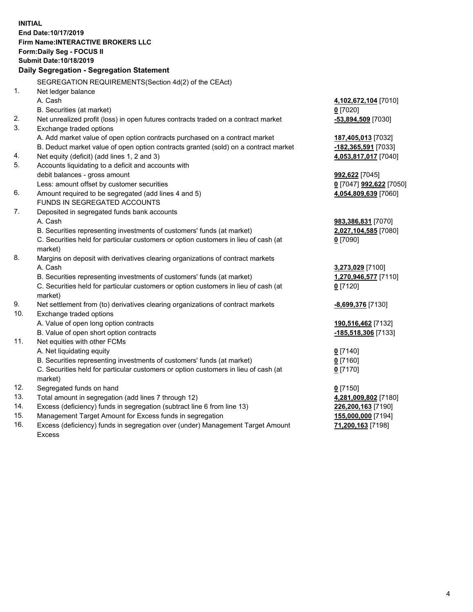| <b>INITIAL</b> | End Date: 10/17/2019<br>Firm Name: INTERACTIVE BROKERS LLC<br>Form: Daily Seg - FOCUS II<br>Submit Date: 10/18/2019 |                         |
|----------------|---------------------------------------------------------------------------------------------------------------------|-------------------------|
|                | Daily Segregation - Segregation Statement                                                                           |                         |
|                | SEGREGATION REQUIREMENTS(Section 4d(2) of the CEAct)                                                                |                         |
| 1.             | Net ledger balance                                                                                                  |                         |
|                | A. Cash                                                                                                             | 4,102,672,104 [7010]    |
|                | B. Securities (at market)                                                                                           | $0$ [7020]              |
| 2.             | Net unrealized profit (loss) in open futures contracts traded on a contract market                                  | -53,894,509 [7030]      |
| 3.             | Exchange traded options                                                                                             |                         |
|                | A. Add market value of open option contracts purchased on a contract market                                         | 187,405,013 [7032]      |
|                | B. Deduct market value of open option contracts granted (sold) on a contract market                                 | -182,365,591 [7033]     |
| 4.             | Net equity (deficit) (add lines 1, 2 and 3)                                                                         | 4,053,817,017 [7040]    |
| 5.             | Accounts liquidating to a deficit and accounts with                                                                 |                         |
|                | debit balances - gross amount                                                                                       | 992,622 [7045]          |
|                | Less: amount offset by customer securities                                                                          | 0 [7047] 992,622 [7050] |
| 6.             | Amount required to be segregated (add lines 4 and 5)                                                                | 4,054,809,639 [7060]    |
|                | FUNDS IN SEGREGATED ACCOUNTS                                                                                        |                         |
| 7.             | Deposited in segregated funds bank accounts                                                                         |                         |
|                | A. Cash                                                                                                             | 983,386,831 [7070]      |
|                | B. Securities representing investments of customers' funds (at market)                                              | 2,027,104,585 [7080]    |
|                | C. Securities held for particular customers or option customers in lieu of cash (at<br>market)                      | $0$ [7090]              |
| 8.             | Margins on deposit with derivatives clearing organizations of contract markets                                      |                         |
|                | A. Cash                                                                                                             | 3,273,029 [7100]        |
|                | B. Securities representing investments of customers' funds (at market)                                              | 1,270,946,577 [7110]    |
|                | C. Securities held for particular customers or option customers in lieu of cash (at                                 | $0$ [7120]              |
|                | market)                                                                                                             |                         |
| 9.             | Net settlement from (to) derivatives clearing organizations of contract markets                                     | -8,699,376 [7130]       |
| 10.            | Exchange traded options                                                                                             |                         |
|                | A. Value of open long option contracts                                                                              | 190,516,462 [7132]      |
|                | B. Value of open short option contracts                                                                             | -185,518,306 [7133]     |
| 11.            | Net equities with other FCMs                                                                                        |                         |
|                | A. Net liquidating equity                                                                                           | $0$ [7140]              |
|                | B. Securities representing investments of customers' funds (at market)                                              | 0 [7160]                |
|                | C. Securities held for particular customers or option customers in lieu of cash (at                                 | $0$ [7170]              |
|                | market)                                                                                                             |                         |
| 12.            | Segregated funds on hand                                                                                            | $0$ [7150]              |
| 13.            | Total amount in segregation (add lines 7 through 12)                                                                | 4,281,009,802 [7180]    |
| 14.            | Excess (deficiency) funds in segregation (subtract line 6 from line 13)                                             | 226,200,163 [7190]      |
| 15.            | Management Target Amount for Excess funds in segregation                                                            | 155,000,000 [7194]      |

16. Excess (deficiency) funds in segregation over (under) Management Target Amount Excess

**71,200,163** [7198]